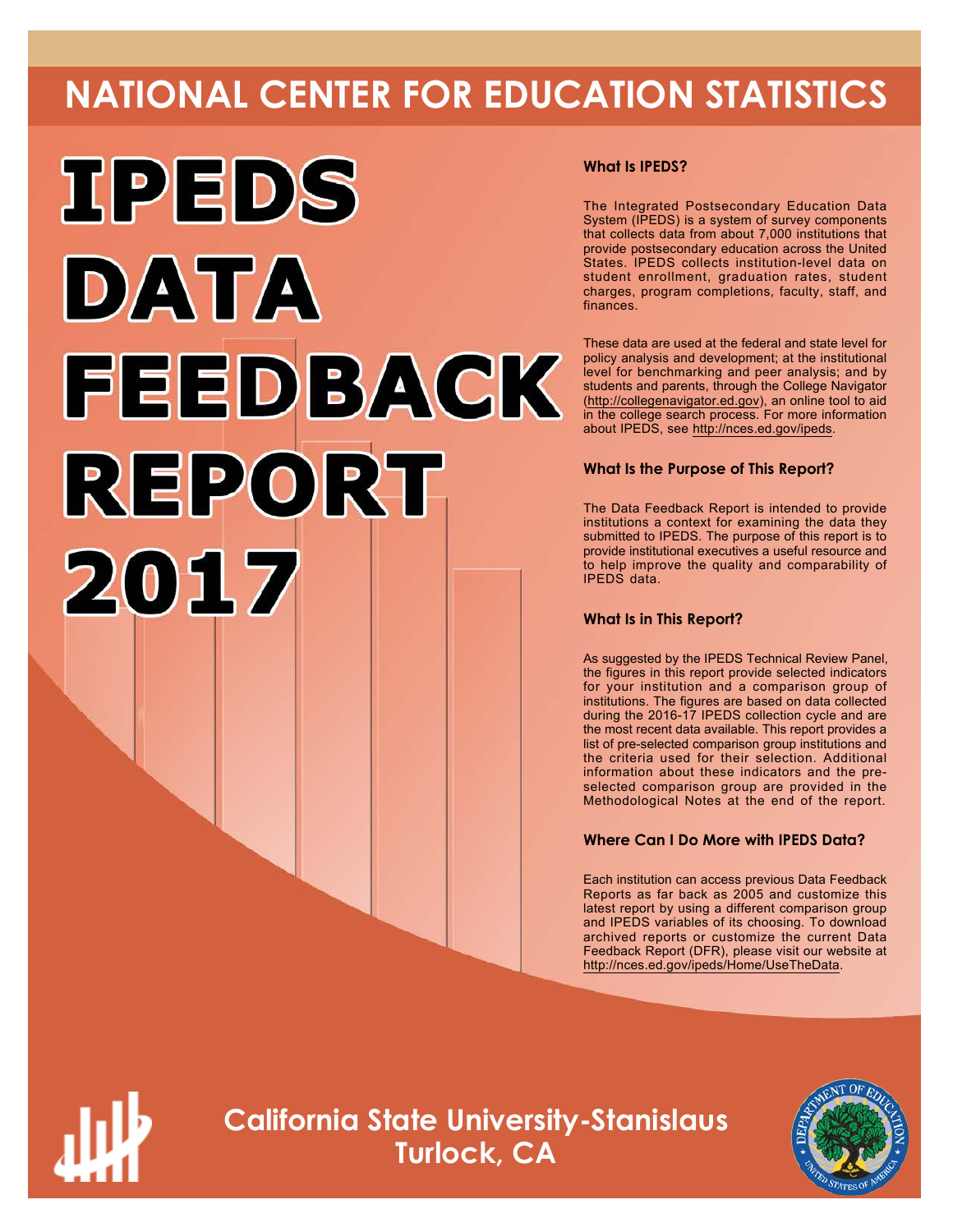# **NATIONAL CENTER FOR EDUCATION STATISTICS**



# **What Is IPEDS?**

The Integrated Postsecondary Education Data System (IPEDS) is a system of survey components that collects data from about 7,000 institutions that provide postsecondary education across the United States. IPEDS collects institution-level data on student enrollment, graduation rates, student charges, program completions, faculty, staff, and finances.

These data are used at the federal and state level for policy analysis and development; at the institutional level for benchmarking and peer analysis; and by students and parents, through the College Navigator (<http://collegenavigator.ed.gov>), an online tool to aid in the college search process. For more information about IPEDS, see [http://nces.ed.gov/ipeds.](http://nces.ed.gov/ipeds)

# **What Is the Purpose of This Report?**

The Data Feedback Report is intended to provide institutions a context for examining the data they submitted to IPEDS. The purpose of this report is to provide institutional executives a useful resource and to help improve the quality and comparability of IPEDS data.

# **What Is in This Report?**

As suggested by the IPEDS Technical Review Panel, the figures in this report provide selected indicators for your institution and a comparison group of institutions. The figures are based on data collected during the 2016-17 IPEDS collection cycle and are the most recent data available. This report provides a list of pre-selected comparison group institutions and the criteria used for their selection. Additional information about these indicators and the preselected comparison group are provided in the Methodological Notes at the end of the report.

# **Where Can I Do More with IPEDS Data?**

Each institution can access previous Data Feedback Reports as far back as 2005 and customize this latest report by using a different comparison group and IPEDS variables of its choosing. To download archived reports or customize the current Data Feedback Report (DFR), please visit our website at [http://nces.ed.gov/ipeds/Home/UseTheData.](http://nces.ed.gov/ipeds/Home/UseTheData)



**California State University-Stanislaus Turlock, CA**

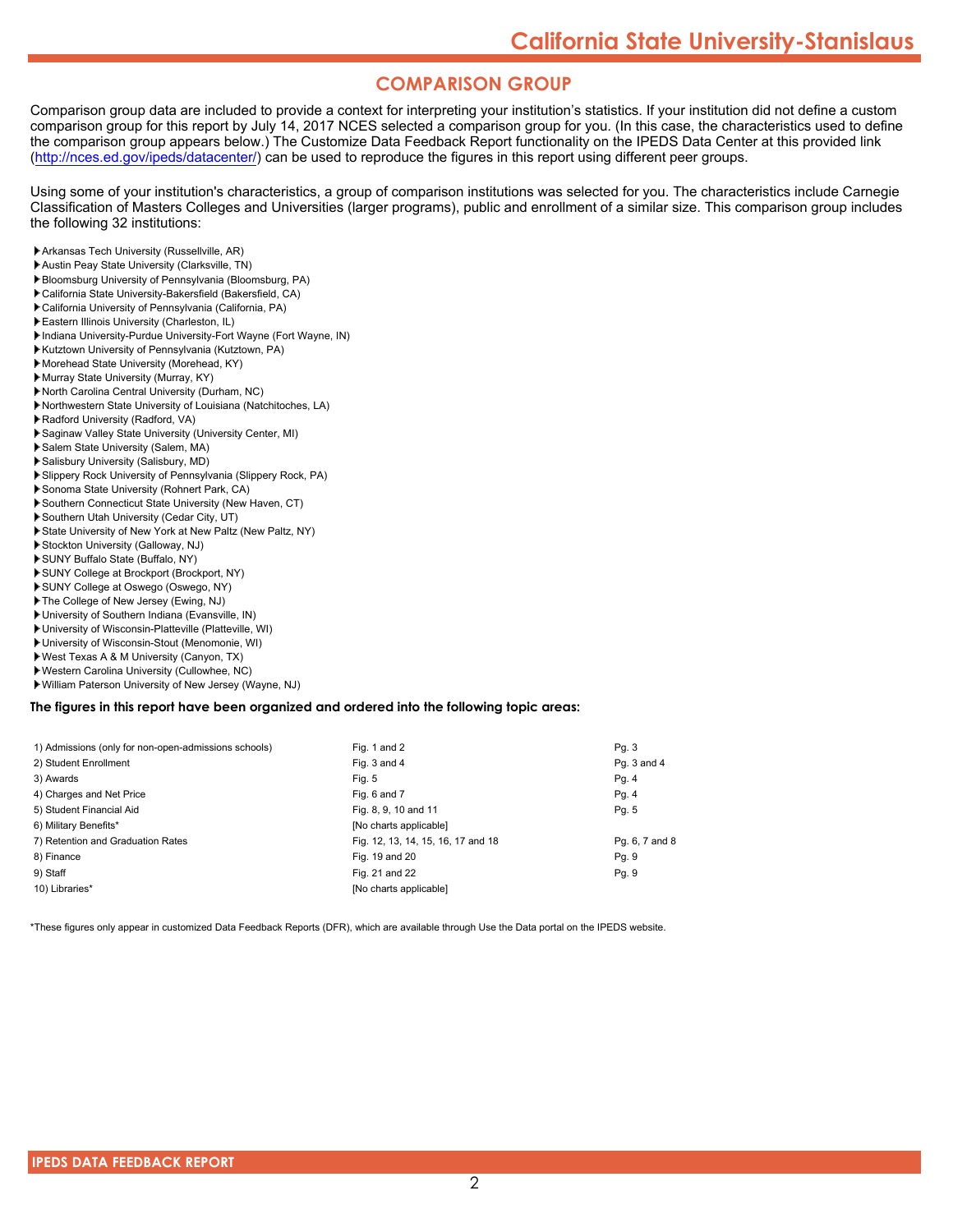# **COMPARISON GROUP**

Comparison group data are included to provide a context for interpreting your institution's statistics. If your institution did not define a custom comparison group for this report by July 14, 2017 NCES selected a comparison group for you. (In this case, the characteristics used to define the comparison group appears below.) The Customize Data Feedback Report functionality on the IPEDS Data Center at this provided link [\(http://nces.ed.gov/ipeds/datacenter/\)](http://nces.ed.gov/ipeds/datacenter/) can be used to reproduce the figures in this report using different peer groups.

Using some of your institution's characteristics, a group of comparison institutions was selected for you. The characteristics include Carnegie Classification of Masters Colleges and Universities (larger programs), public and enrollment of a similar size. This comparison group includes the following 32 institutions:

- Arkansas Tech University (Russellville, AR)
- Austin Peay State University (Clarksville, TN)
- Bloomsburg University of Pennsylvania (Bloomsburg, PA) California State University-Bakersfield (Bakersfield, CA)
- California University of Pennsylvania (California, PA)
- Eastern Illinois University (Charleston, IL)
- Indiana University-Purdue University-Fort Wayne (Fort Wayne, IN)
- Kutztown University of Pennsylvania (Kutztown, PA)
- Morehead State University (Morehead, KY)
- Murray State University (Murray, KY)
- North Carolina Central University (Durham, NC)
- Northwestern State University of Louisiana (Natchitoches, LA)
- Radford University (Radford, VA)
- Saginaw Valley State University (University Center, MI)
- Salem State University (Salem, MA)
- Salisbury University (Salisbury, MD)
- Slippery Rock University of Pennsylvania (Slippery Rock, PA)
- Sonoma State University (Rohnert Park, CA)
- Southern Connecticut State University (New Haven, CT)
- Southern Utah University (Cedar City, UT)
- State University of New York at New Paltz (New Paltz, NY)
- Stockton University (Galloway, NJ)
- SUNY Buffalo State (Buffalo, NY)
- SUNY College at Brockport (Brockport, NY)
- SUNY College at Oswego (Oswego, NY)
- The College of New Jersey (Ewing, NJ)
- University of Southern Indiana (Evansville, IN)
- University of Wisconsin-Platteville (Platteville, WI)
- University of Wisconsin-Stout (Menomonie, WI)
- West Texas A & M University (Canyon, TX)
- Western Carolina University (Cullowhee, NC)
- William Paterson University of New Jersey (Wayne, NJ)

#### **The figures in this report have been organized and ordered into the following topic areas:**

| 1) Admissions (only for non-open-admissions schools) | Fig. 1 and 2                       | Pq. 3          |
|------------------------------------------------------|------------------------------------|----------------|
| 2) Student Enrollment                                | Fig. 3 and 4                       | Pg. 3 and 4    |
| 3) Awards                                            | Fig. 5                             | Pg. 4          |
| 4) Charges and Net Price                             | Fig. 6 and 7                       | Pg. 4          |
| 5) Student Financial Aid                             | Fig. 8, 9, 10 and 11               | Pg. 5          |
| 6) Military Benefits*                                | [No charts applicable]             |                |
| 7) Retention and Graduation Rates                    | Fig. 12, 13, 14, 15, 16, 17 and 18 | Pg. 6, 7 and 8 |
| 8) Finance                                           | Fig. 19 and 20                     | Pq. 9          |
| 9) Staff                                             | Fig. 21 and 22                     | Pg. 9          |
| 10) Libraries*                                       | [No charts applicable]             |                |
|                                                      |                                    |                |

\*These figures only appear in customized Data Feedback Reports (DFR), which are available through Use the Data portal on the IPEDS website.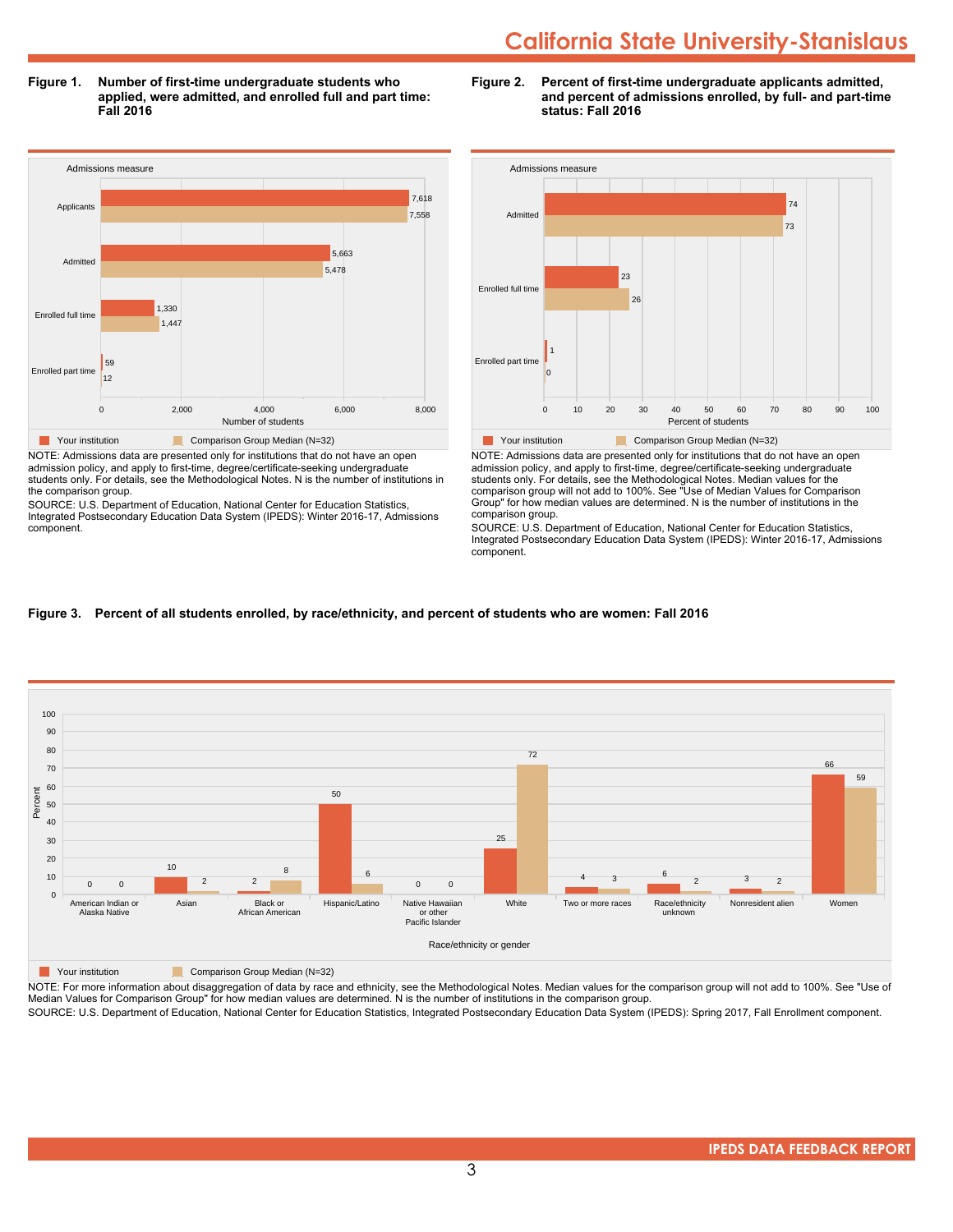**Figure 1. Number of first-time undergraduate students who applied, were admitted, and enrolled full and part time: Fall 2016**



admission policy, and apply to first-time, degree/certificate-seeking undergraduate students only. For details, see the Methodological Notes. N is the number of institutions in the comparison group.

SOURCE: U.S. Department of Education, National Center for Education Statistics, Integrated Postsecondary Education Data System (IPEDS): Winter 2016-17, Admissions component.





NOTE: Admissions data are presented only for institutions that do not have an open admission policy, and apply to first-time, degree/certificate-seeking undergraduate students only. For details, see the Methodological Notes. Median values for the comparison group will not add to 100%. See "Use of Median Values for Comparison Group" for how median values are determined. N is the number of institutions in the comparison group.

SOURCE: U.S. Department of Education, National Center for Education Statistics, Integrated Postsecondary Education Data System (IPEDS): Winter 2016-17, Admissions component.

## **Figure 3. Percent of all students enrolled, by race/ethnicity, and percent of students who are women: Fall 2016**



**The Comparison Group Median (N=32)** Comparison Group Median (N=32)

NOTE: For more information about disaggregation of data by race and ethnicity, see the Methodological Notes. Median values for the comparison group will not add to 100%. See "Use of Median Values for Comparison Group" for how median values are determined. N is the number of institutions in the comparison group.

SOURCE: U.S. Department of Education, National Center for Education Statistics, Integrated Postsecondary Education Data System (IPEDS): Spring 2017, Fall Enrollment component.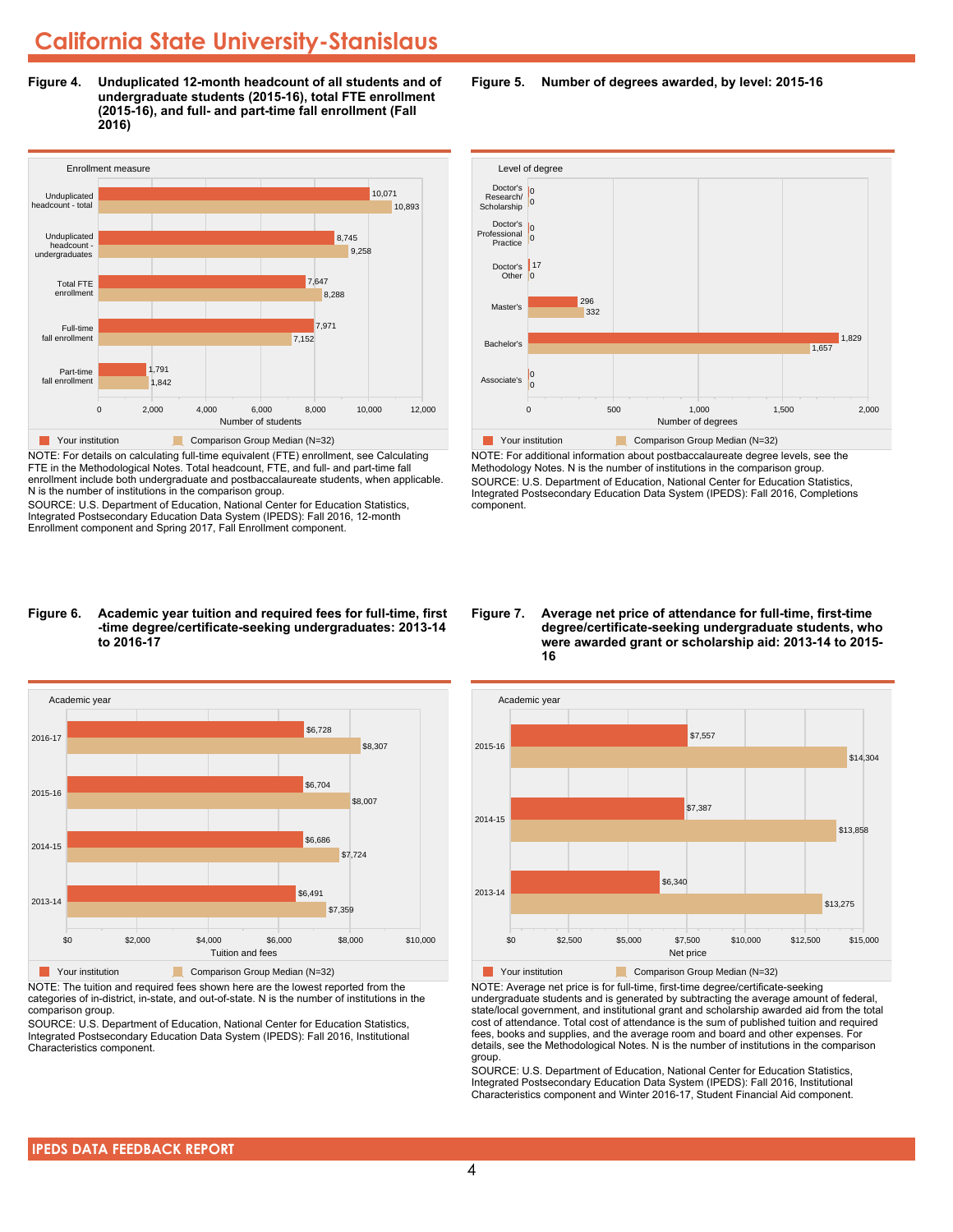**Figure 4. Unduplicated 12-month headcount of all students and of undergraduate students (2015-16), total FTE enrollment (2015-16), and full- and part-time fall enrollment (Fall 2016)**



NOTE: For details on calculating full-time equivalent (FTE) enrollment, see Calculating FTE in the Methodological Notes. Total headcount, FTE, and full- and part-time fall enrollment include both undergraduate and postbaccalaureate students, when applicable. N is the number of institutions in the comparison group.

SOURCE: U.S. Department of Education, National Center for Education Statistics, Integrated Postsecondary Education Data System (IPEDS): Fall 2016, 12-month Enrollment component and Spring 2017, Fall Enrollment component.

#### **Figure 6. Academic year tuition and required fees for full-time, first -time degree/certificate-seeking undergraduates: 2013-14 to 2016-17**



NOTE: The tuition and required fees shown here are the lowest reported from the categories of in-district, in-state, and out-of-state. N is the number of institutions in the comparison group.

SOURCE: U.S. Department of Education, National Center for Education Statistics, Integrated Postsecondary Education Data System (IPEDS): Fall 2016, Institutional Characteristics component.

**Figure 5. Number of degrees awarded, by level: 2015-16**



NOTE: For additional information about postbaccalaureate degree levels, see the Methodology Notes. N is the number of institutions in the comparison group. SOURCE: U.S. Department of Education, National Center for Education Statistics, Integrated Postsecondary Education Data System (IPEDS): Fall 2016, Completions component.

**Figure 7. Average net price of attendance for full-time, first-time degree/certificate-seeking undergraduate students, who were awarded grant or scholarship aid: 2013-14 to 2015- 16**



NOTE: Average net price is for full-time, first-time degree/certificate-seeking undergraduate students and is generated by subtracting the average amount of federal, state/local government, and institutional grant and scholarship awarded aid from the total cost of attendance. Total cost of attendance is the sum of published tuition and required fees, books and supplies, and the average room and board and other expenses. For details, see the Methodological Notes. N is the number of institutions in the comparison group.

SOURCE: U.S. Department of Education, National Center for Education Statistics, Integrated Postsecondary Education Data System (IPEDS): Fall 2016, Institutional Characteristics component and Winter 2016-17, Student Financial Aid component.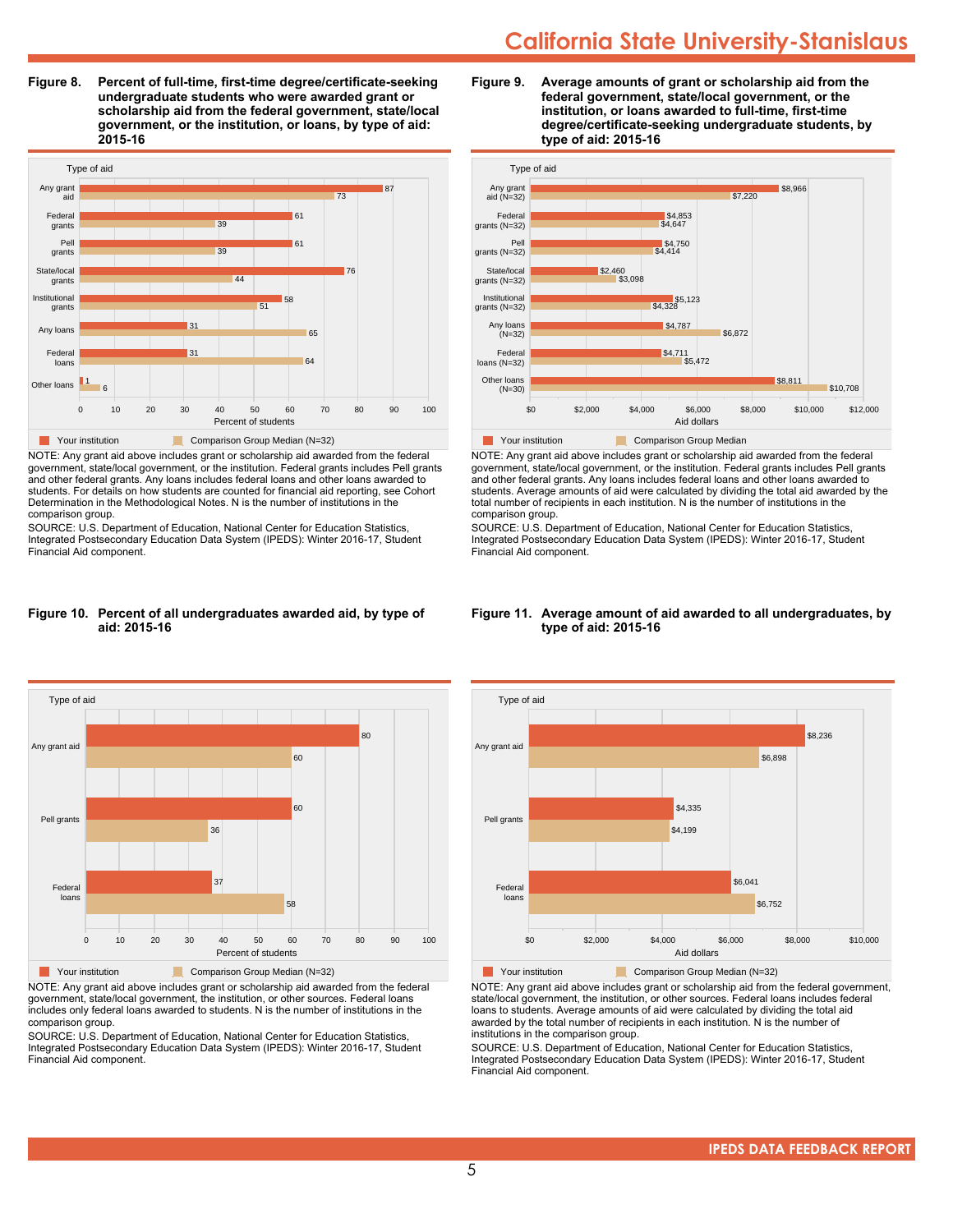**Figure 8. Percent of full-time, first-time degree/certificate-seeking undergraduate students who were awarded grant or scholarship aid from the federal government, state/local government, or the institution, or loans, by type of aid: 2015-16**



NOTE: Any grant aid above includes grant or scholarship aid awarded from the federal government, state/local government, or the institution. Federal grants includes Pell grants and other federal grants. Any loans includes federal loans and other loans awarded to students. For details on how students are counted for financial aid reporting, see Cohort Determination in the Methodological Notes. N is the number of institutions in the comparison group.

SOURCE: U.S. Department of Education, National Center for Education Statistics, Integrated Postsecondary Education Data System (IPEDS): Winter 2016-17, Student Financial Aid component.

#### **Figure 10. Percent of all undergraduates awarded aid, by type of aid: 2015-16**



NOTE: Any grant aid above includes grant or scholarship aid awarded from the federal government, state/local government, the institution, or other sources. Federal loans includes only federal loans awarded to students. N is the number of institutions in the comparison group.

SOURCE: U.S. Department of Education, National Center for Education Statistics, Integrated Postsecondary Education Data System (IPEDS): Winter 2016-17, Student Financial Aid component.





NOTE: Any grant aid above includes grant or scholarship aid awarded from the federal government, state/local government, or the institution. Federal grants includes Pell grants and other federal grants. Any loans includes federal loans and other loans awarded to students. Average amounts of aid were calculated by dividing the total aid awarded by the total number of recipients in each institution. N is the number of institutions in the comparison group.

SOURCE: U.S. Department of Education, National Center for Education Statistics, Integrated Postsecondary Education Data System (IPEDS): Winter 2016-17, Student Financial Aid component.



#### **Figure 11. Average amount of aid awarded to all undergraduates, by type of aid: 2015-16**

Your institution Comparison Group Median (N=32)

NOTE: Any grant aid above includes grant or scholarship aid from the federal government, state/local government, the institution, or other sources. Federal loans includes federal loans to students. Average amounts of aid were calculated by dividing the total aid awarded by the total number of recipients in each institution. N is the number of institutions in the comparison group.

SOURCE: U.S. Department of Education, National Center for Education Statistics, Integrated Postsecondary Education Data System (IPEDS): Winter 2016-17, Student Financial Aid component.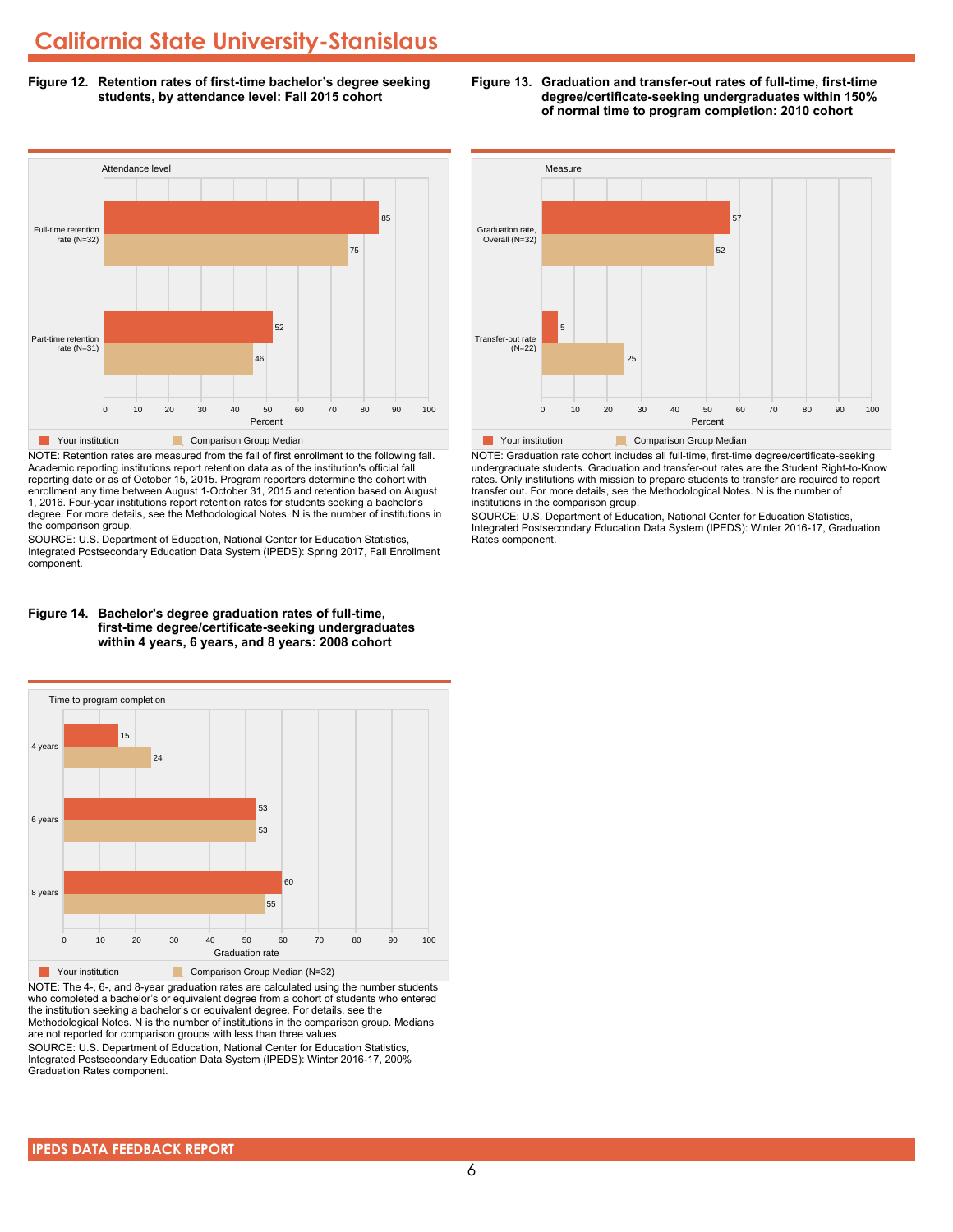**Figure 12. Retention rates of first-time bachelor's degree seeking students, by attendance level: Fall 2015 cohort**



NOTE: Retention rates are measured from the fall of first enrollment to the following fall. Academic reporting institutions report retention data as of the institution's official fall reporting date or as of October 15, 2015. Program reporters determine the cohort with enrollment any time between August 1-October 31, 2015 and retention based on August 1, 2016. Four-year institutions report retention rates for students seeking a bachelor's degree. For more details, see the Methodological Notes. N is the number of institutions in the comparison group.

SOURCE: U.S. Department of Education, National Center for Education Statistics, Integrated Postsecondary Education Data System (IPEDS): Spring 2017, Fall Enrollment component.





NOTE: The 4-, 6-, and 8-year graduation rates are calculated using the number students who completed a bachelor's or equivalent degree from a cohort of students who entered the institution seeking a bachelor's or equivalent degree. For details, see the Methodological Notes. N is the number of institutions in the comparison group. Medians are not reported for comparison groups with less than three values.

SOURCE: U.S. Department of Education, National Center for Education Statistics, Integrated Postsecondary Education Data System (IPEDS): Winter 2016-17, 200% Graduation Rates component.



**Figure 13. Graduation and transfer-out rates of full-time, first-time**

**degree/certificate-seeking undergraduates within 150% of normal time to program completion: 2010 cohort**

NOTE: Graduation rate cohort includes all full-time, first-time degree/certificate-seeking undergraduate students. Graduation and transfer-out rates are the Student Right-to-Know rates. Only institutions with mission to prepare students to transfer are required to report transfer out. For more details, see the Methodological Notes. N is the number of institutions in the comparison group.

SOURCE: U.S. Department of Education, National Center for Education Statistics, Integrated Postsecondary Education Data System (IPEDS): Winter 2016-17, Graduation Rates component.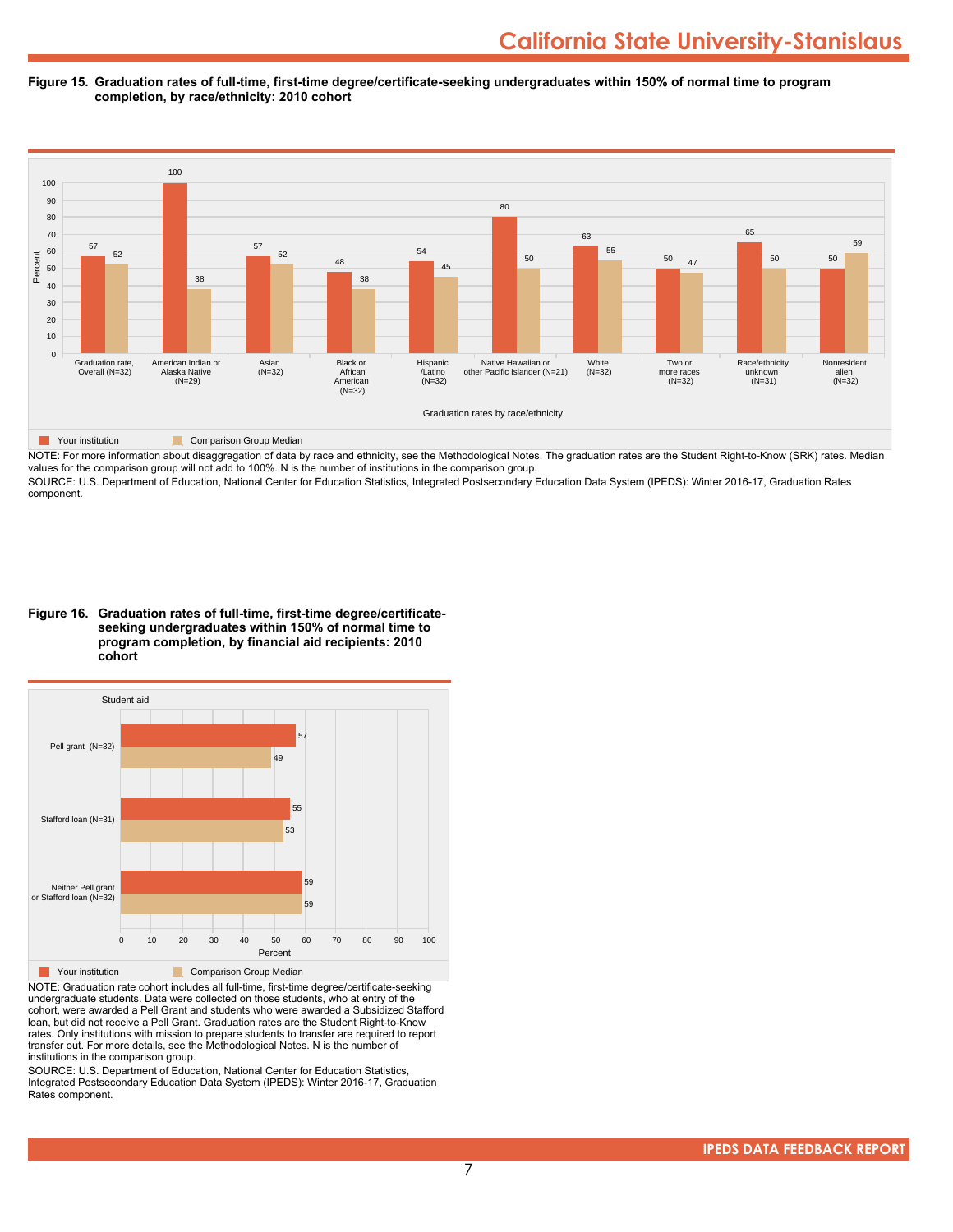#### **Figure 15. Graduation rates of full-time, first-time degree/certificate-seeking undergraduates within 150% of normal time to program completion, by race/ethnicity: 2010 cohort**



NOTE: For more information about disaggregation of data by race and ethnicity, see the Methodological Notes. The graduation rates are the Student Right-to-Know (SRK) rates. Median values for the comparison group will not add to 100%. N is the number of institutions in the comparison group.

SOURCE: U.S. Department of Education, National Center for Education Statistics, Integrated Postsecondary Education Data System (IPEDS): Winter 2016-17, Graduation Rates component.

**Figure 16. Graduation rates of full-time, first-time degree/certificateseeking undergraduates within 150% of normal time to program completion, by financial aid recipients: 2010 cohort**



NOTE: Graduation rate cohort includes all full-time, first-time degree/certificate-seeking undergraduate students. Data were collected on those students, who at entry of the cohort, were awarded a Pell Grant and students who were awarded a Subsidized Stafford loan, but did not receive a Pell Grant. Graduation rates are the Student Right-to-Know rates. Only institutions with mission to prepare students to transfer are required to report transfer out. For more details, see the Methodological Notes. N is the number of institutions in the comparison group.

SOURCE: U.S. Department of Education, National Center for Education Statistics, Integrated Postsecondary Education Data System (IPEDS): Winter 2016-17, Graduation Rates component.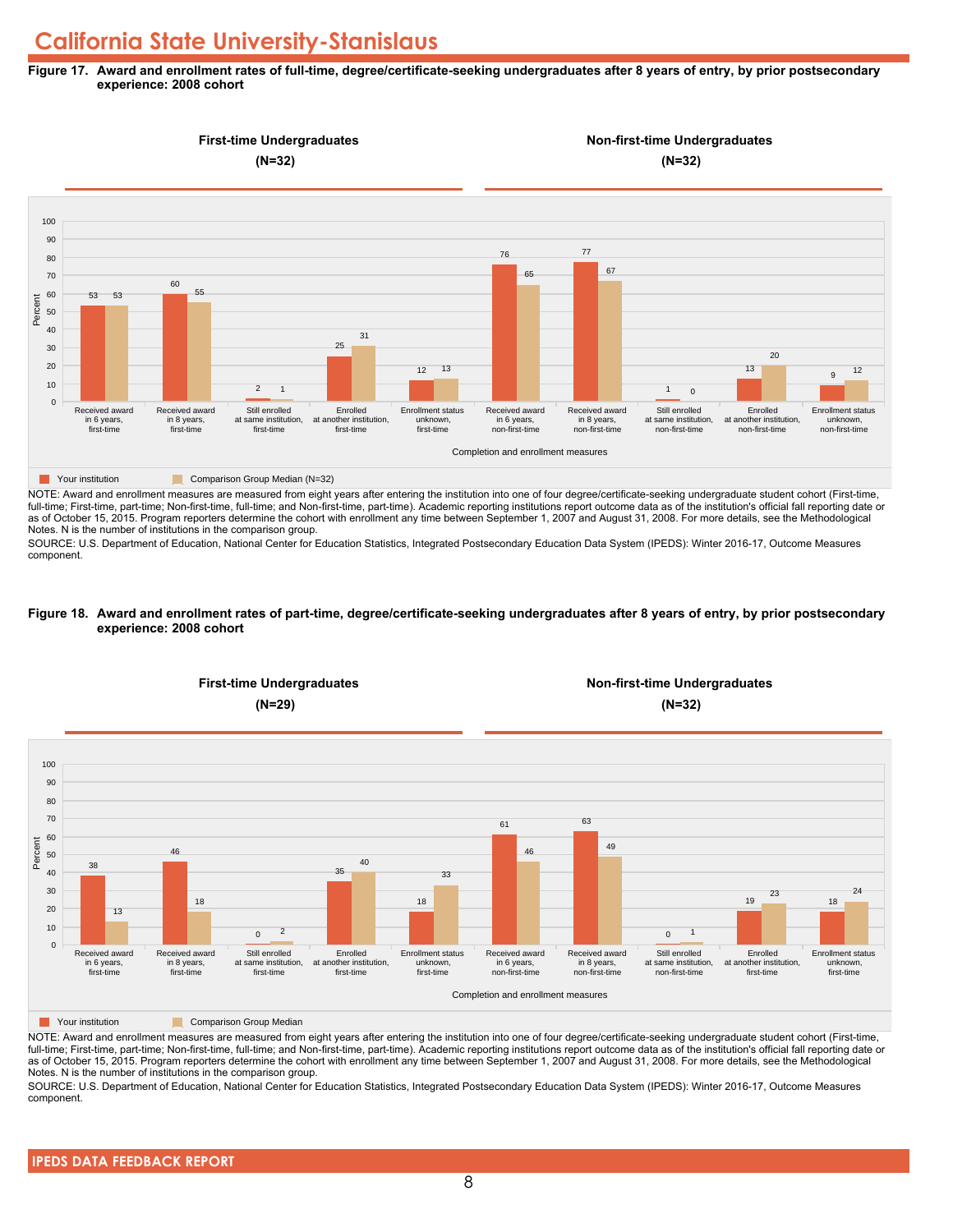#### **Figure 17. Award and enrollment rates of full-time, degree/certificate-seeking undergraduates after 8 years of entry, by prior postsecondary experience: 2008 cohort**



NOTE: Award and enrollment measures are measured from eight years after entering the institution into one of four degree/certificate-seeking undergraduate student cohort (First-time, full-time; First-time, part-time; Non-first-time, full-time; and Non-first-time, part-time). Academic reporting institutions report outcome data as of the institution's official fall reporting date or as of October 15, 2015. Program reporters determine the cohort with enrollment any time between September 1, 2007 and August 31, 2008. For more details, see the Methodological Notes. N is the number of institutions in the comparison group.

SOURCE: U.S. Department of Education, National Center for Education Statistics, Integrated Postsecondary Education Data System (IPEDS): Winter 2016-17, Outcome Measures component.

#### **Figure 18. Award and enrollment rates of part-time, degree/certificate-seeking undergraduates after 8 years of entry, by prior postsecondary experience: 2008 cohort**



NOTE: Award and enrollment measures are measured from eight years after entering the institution into one of four degree/certificate-seeking undergraduate student cohort (First-time, full-time; First-time, part-time; Non-first-time, full-time; and Non-first-time, part-time). Academic reporting institutions report outcome data as of the institution's official fall reporting date or as of October 15, 2015. Program reporters determine the cohort with enrollment any time between September 1, 2007 and August 31, 2008. For more details, see the Methodological Notes. N is the number of institutions in the comparison group.

SOURCE: U.S. Department of Education, National Center for Education Statistics, Integrated Postsecondary Education Data System (IPEDS): Winter 2016-17, Outcome Measures component.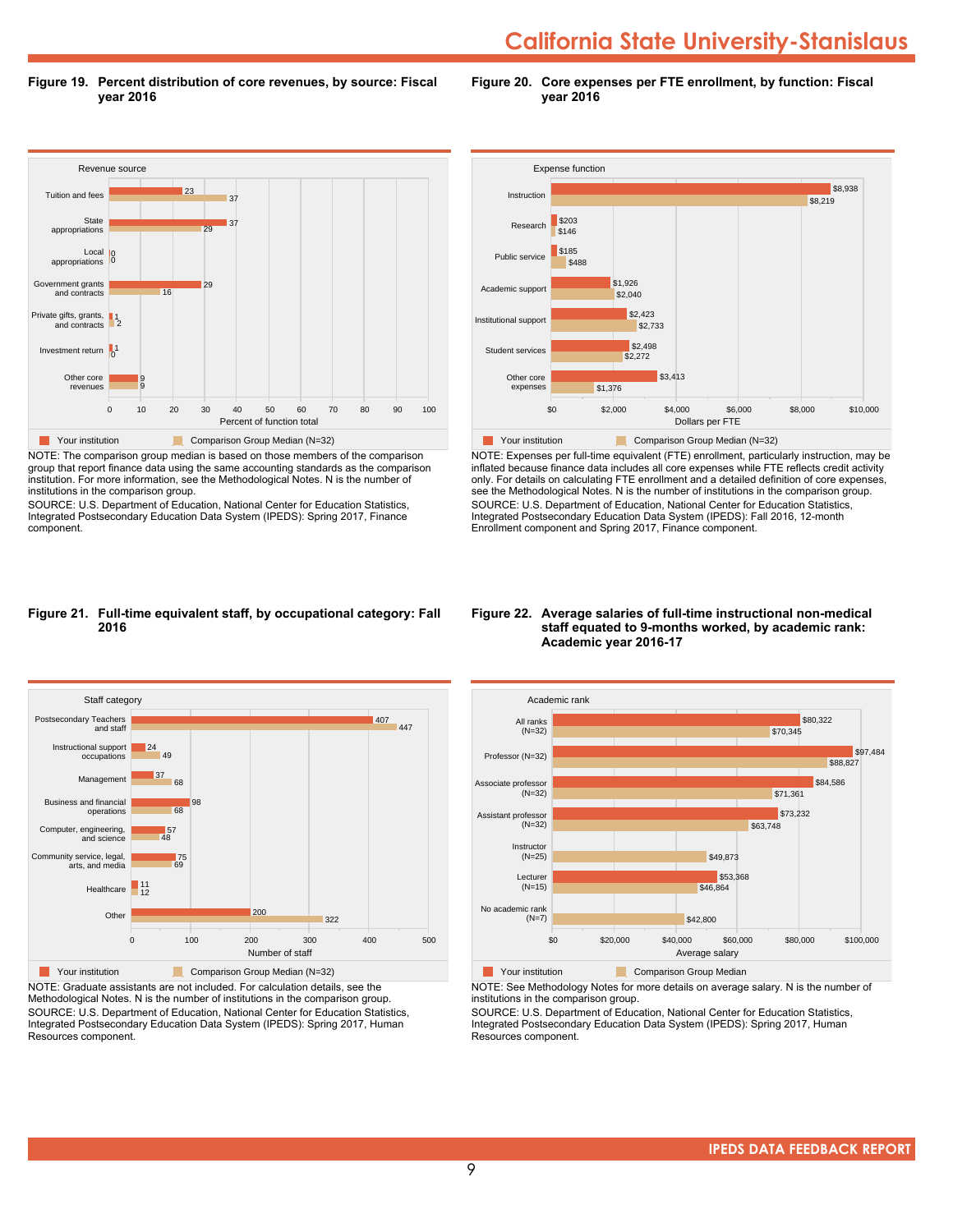**Figure 19. Percent distribution of core revenues, by source: Fiscal year 2016**

**Figure 20. Core expenses per FTE enrollment, by function: Fiscal year 2016**



NOTE: The comparison group median is based on those members of the comparison group that report finance data using the same accounting standards as the comparison institution. For more information, see the Methodological Notes. N is the number of institutions in the comparison group.

SOURCE: U.S. Department of Education, National Center for Education Statistics, Integrated Postsecondary Education Data System (IPEDS): Spring 2017, Finance component.



NOTE: Expenses per full-time equivalent (FTE) enrollment, particularly instruction, may be inflated because finance data includes all core expenses while FTE reflects credit activity only. For details on calculating FTE enrollment and a detailed definition of core expenses, see the Methodological Notes. N is the number of institutions in the comparison group. SOURCE: U.S. Department of Education, National Center for Education Statistics, Integrated Postsecondary Education Data System (IPEDS): Fall 2016, 12-month Enrollment component and Spring 2017, Finance component.

#### **Figure 21. Full-time equivalent staff, by occupational category: Fall 2016**



NOTE: Graduate assistants are not included. For calculation details, see the Methodological Notes. N is the number of institutions in the comparison group. SOURCE: U.S. Department of Education, National Center for Education Statistics, Integrated Postsecondary Education Data System (IPEDS): Spring 2017, Human Resources component.

#### **Figure 22. Average salaries of full-time instructional non-medical staff equated to 9-months worked, by academic rank: Academic year 2016-17**



**The Comparison Group Median**<br> **Comparison Group Median** 

NOTE: See Methodology Notes for more details on average salary. N is the number of institutions in the comparison group.

SOURCE: U.S. Department of Education, National Center for Education Statistics, Integrated Postsecondary Education Data System (IPEDS): Spring 2017, Human Resources component.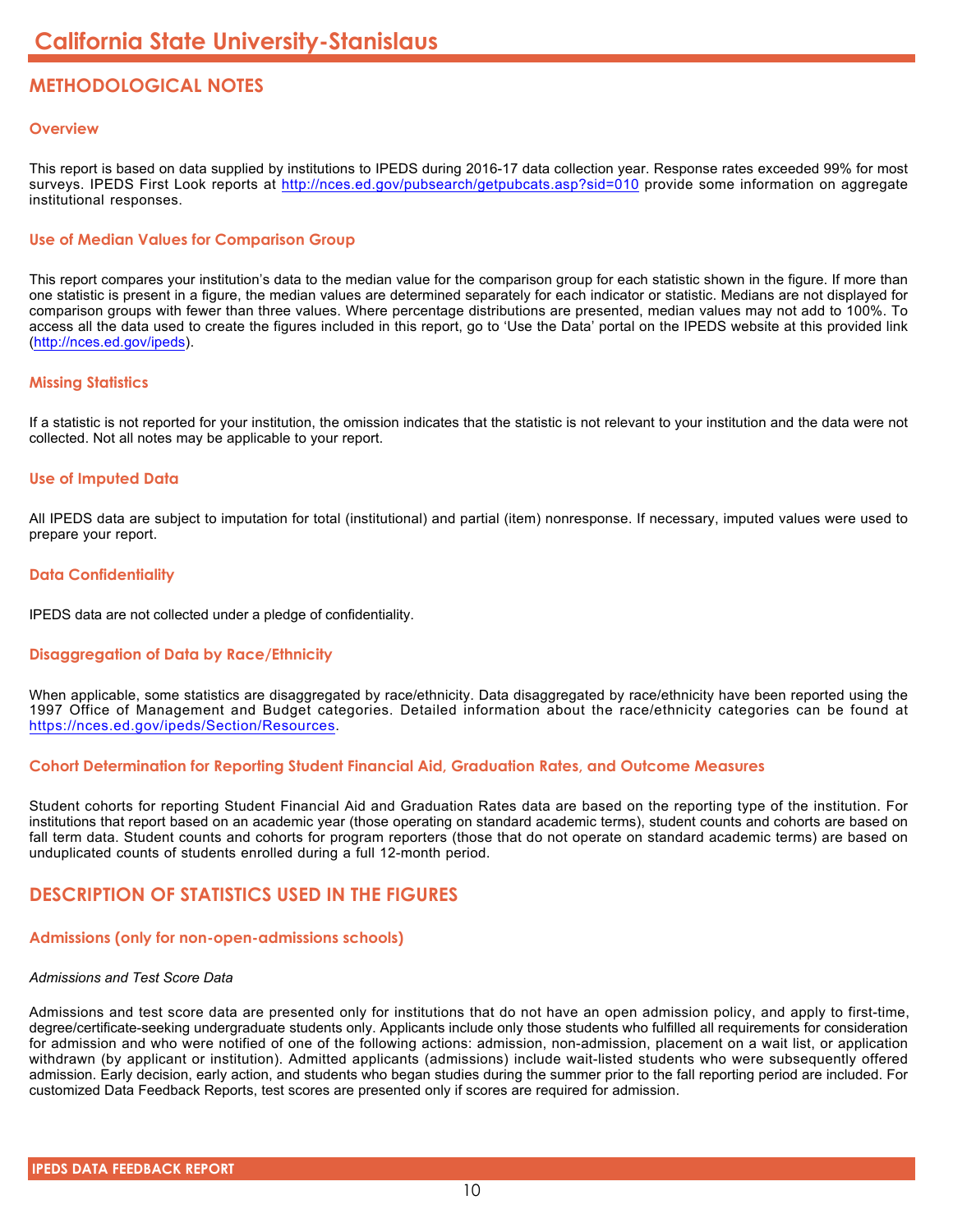# **METHODOLOGICAL NOTES**

# **Overview**

This report is based on data supplied by institutions to IPEDS during 2016-17 data collection year. Response rates exceeded 99% for most surveys. IPEDS First Look reports at <http://nces.ed.gov/pubsearch/getpubcats.asp?sid=010> provide some information on aggregate institutional responses.

# **Use of Median Values for Comparison Group**

This report compares your institution's data to the median value for the comparison group for each statistic shown in the figure. If more than one statistic is present in a figure, the median values are determined separately for each indicator or statistic. Medians are not displayed for comparison groups with fewer than three values. Where percentage distributions are presented, median values may not add to 100%. To access all the data used to create the figures included in this report, go to 'Use the Data' portal on the IPEDS website at this provided link (<http://nces.ed.gov/ipeds>).

# **Missing Statistics**

If a statistic is not reported for your institution, the omission indicates that the statistic is not relevant to your institution and the data were not collected. Not all notes may be applicable to your report.

# **Use of Imputed Data**

All IPEDS data are subject to imputation for total (institutional) and partial (item) nonresponse. If necessary, imputed values were used to prepare your report.

# **Data Confidentiality**

IPEDS data are not collected under a pledge of confidentiality.

# **Disaggregation of Data by Race/Ethnicity**

When applicable, some statistics are disaggregated by race/ethnicity. Data disaggregated by race/ethnicity have been reported using the 1997 Office of Management and Budget categories. Detailed information about the race/ethnicity categories can be found at <https://nces.ed.gov/ipeds/Section/Resources>.

### **Cohort Determination for Reporting Student Financial Aid, Graduation Rates, and Outcome Measures**

Student cohorts for reporting Student Financial Aid and Graduation Rates data are based on the reporting type of the institution. For institutions that report based on an academic year (those operating on standard academic terms), student counts and cohorts are based on fall term data. Student counts and cohorts for program reporters (those that do not operate on standard academic terms) are based on unduplicated counts of students enrolled during a full 12-month period.

# **DESCRIPTION OF STATISTICS USED IN THE FIGURES**

# **Admissions (only for non-open-admissions schools)**

### *Admissions and Test Score Data*

Admissions and test score data are presented only for institutions that do not have an open admission policy, and apply to first-time, degree/certificate-seeking undergraduate students only. Applicants include only those students who fulfilled all requirements for consideration for admission and who were notified of one of the following actions: admission, non-admission, placement on a wait list, or application withdrawn (by applicant or institution). Admitted applicants (admissions) include wait-listed students who were subsequently offered admission. Early decision, early action, and students who began studies during the summer prior to the fall reporting period are included. For customized Data Feedback Reports, test scores are presented only if scores are required for admission.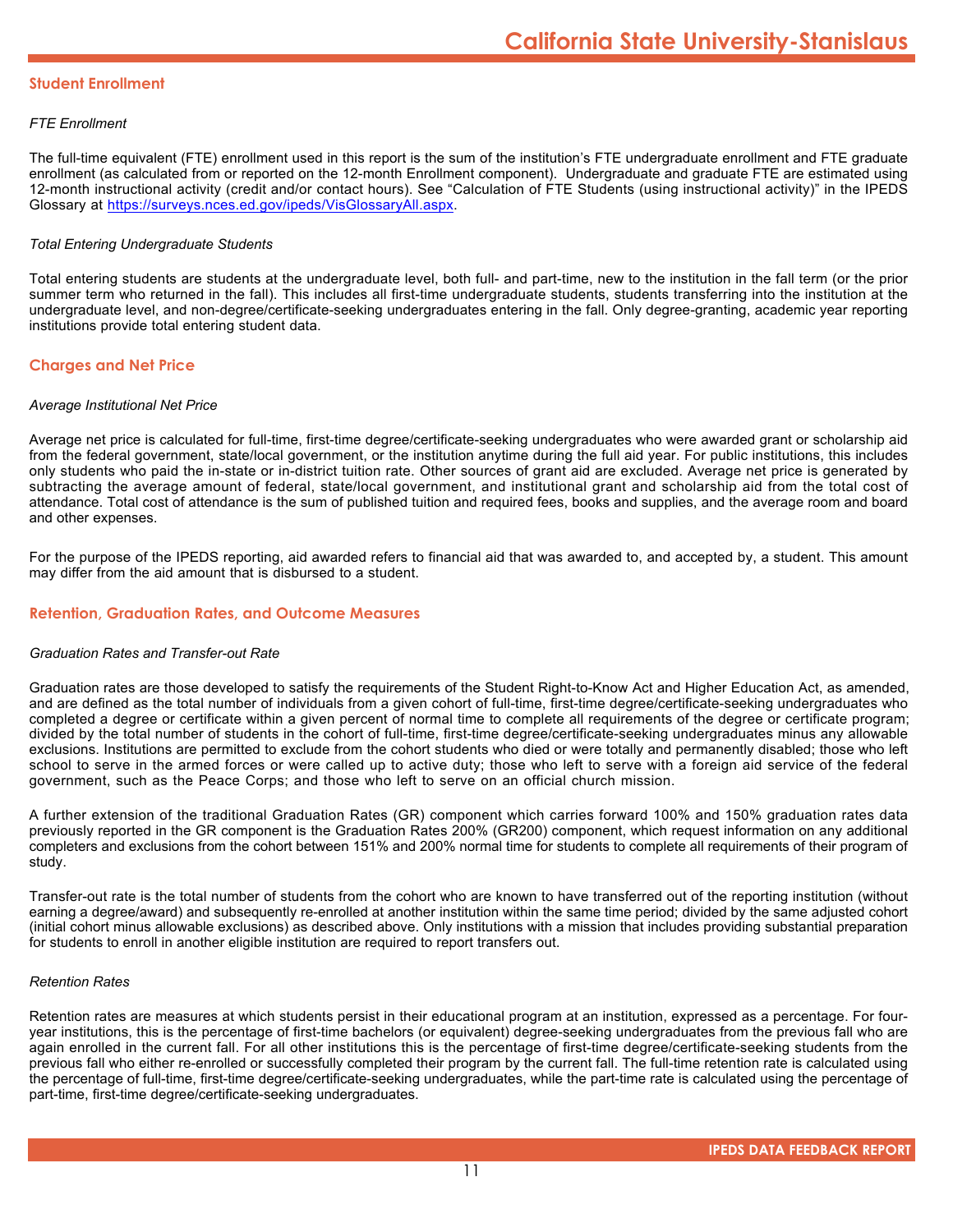## **Student Enrollment**

# *FTE Enrollment*

The full-time equivalent (FTE) enrollment used in this report is the sum of the institution's FTE undergraduate enrollment and FTE graduate enrollment (as calculated from or reported on the 12-month Enrollment component). Undergraduate and graduate FTE are estimated using 12-month instructional activity (credit and/or contact hours). See "Calculation of FTE Students (using instructional activity)" in the IPEDS Glossary at <https://surveys.nces.ed.gov/ipeds/VisGlossaryAll.aspx>.

# *Total Entering Undergraduate Students*

Total entering students are students at the undergraduate level, both full- and part-time, new to the institution in the fall term (or the prior summer term who returned in the fall). This includes all first-time undergraduate students, students transferring into the institution at the undergraduate level, and non-degree/certificate-seeking undergraduates entering in the fall. Only degree-granting, academic year reporting institutions provide total entering student data.

# **Charges and Net Price**

### *Average Institutional Net Price*

Average net price is calculated for full-time, first-time degree/certificate-seeking undergraduates who were awarded grant or scholarship aid from the federal government, state/local government, or the institution anytime during the full aid year. For public institutions, this includes only students who paid the in-state or in-district tuition rate. Other sources of grant aid are excluded. Average net price is generated by subtracting the average amount of federal, state/local government, and institutional grant and scholarship aid from the total cost of attendance. Total cost of attendance is the sum of published tuition and required fees, books and supplies, and the average room and board and other expenses.

For the purpose of the IPEDS reporting, aid awarded refers to financial aid that was awarded to, and accepted by, a student. This amount may differ from the aid amount that is disbursed to a student.

# **Retention, Graduation Rates, and Outcome Measures**

### *Graduation Rates and Transfer-out Rate*

Graduation rates are those developed to satisfy the requirements of the Student Right-to-Know Act and Higher Education Act, as amended, and are defined as the total number of individuals from a given cohort of full-time, first-time degree/certificate-seeking undergraduates who completed a degree or certificate within a given percent of normal time to complete all requirements of the degree or certificate program; divided by the total number of students in the cohort of full-time, first-time degree/certificate-seeking undergraduates minus any allowable exclusions. Institutions are permitted to exclude from the cohort students who died or were totally and permanently disabled; those who left school to serve in the armed forces or were called up to active duty; those who left to serve with a foreign aid service of the federal government, such as the Peace Corps; and those who left to serve on an official church mission.

A further extension of the traditional Graduation Rates (GR) component which carries forward 100% and 150% graduation rates data previously reported in the GR component is the Graduation Rates 200% (GR200) component, which request information on any additional completers and exclusions from the cohort between 151% and 200% normal time for students to complete all requirements of their program of study.

Transfer-out rate is the total number of students from the cohort who are known to have transferred out of the reporting institution (without earning a degree/award) and subsequently re-enrolled at another institution within the same time period; divided by the same adjusted cohort (initial cohort minus allowable exclusions) as described above. Only institutions with a mission that includes providing substantial preparation for students to enroll in another eligible institution are required to report transfers out.

#### *Retention Rates*

Retention rates are measures at which students persist in their educational program at an institution, expressed as a percentage. For fouryear institutions, this is the percentage of first-time bachelors (or equivalent) degree-seeking undergraduates from the previous fall who are again enrolled in the current fall. For all other institutions this is the percentage of first-time degree/certificate-seeking students from the previous fall who either re-enrolled or successfully completed their program by the current fall. The full-time retention rate is calculated using the percentage of full-time, first-time degree/certificate-seeking undergraduates, while the part-time rate is calculated using the percentage of part-time, first-time degree/certificate-seeking undergraduates.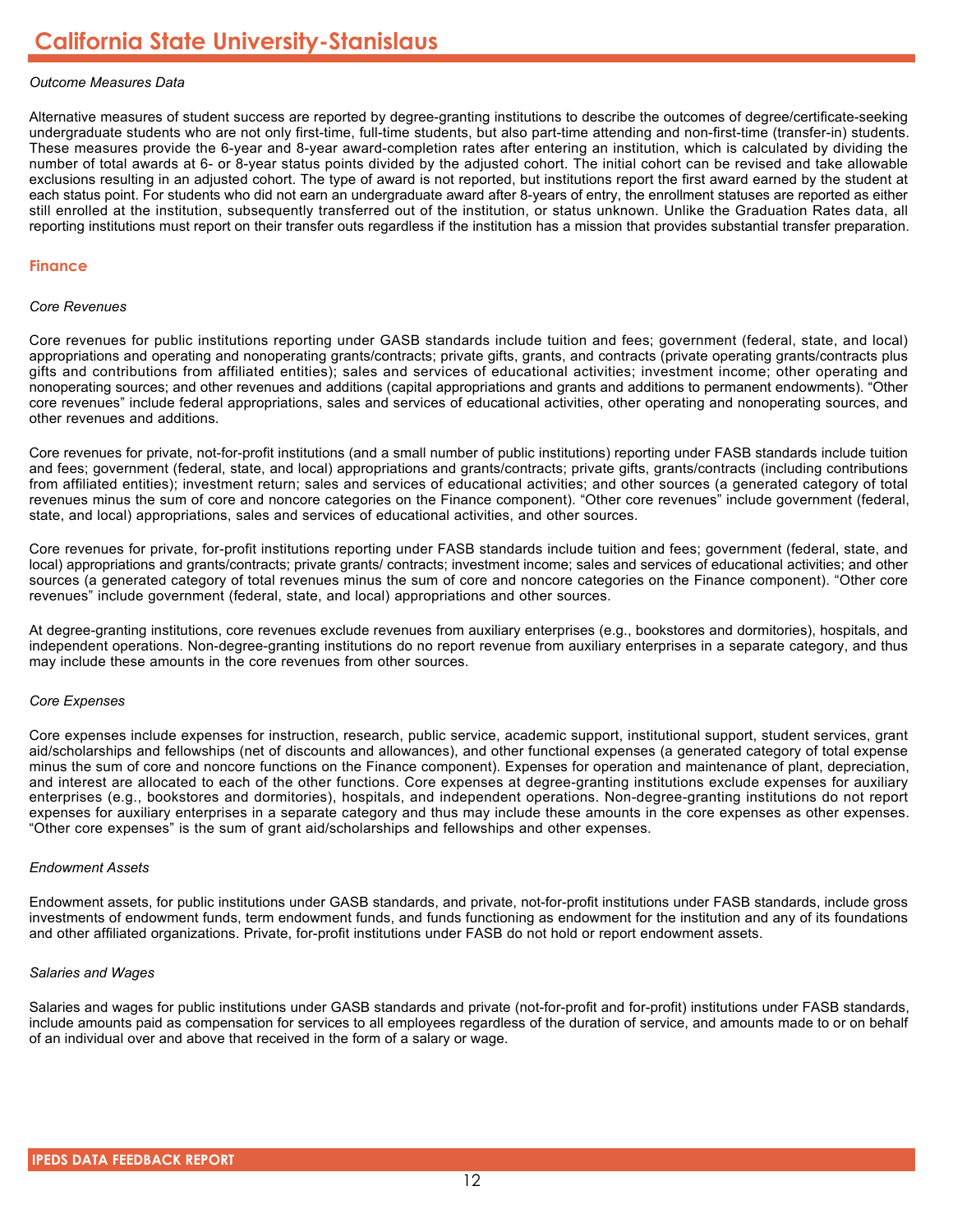# *Outcome Measures Data*

Alternative measures of student success are reported by degree-granting institutions to describe the outcomes of degree/certificate-seeking undergraduate students who are not only first-time, full-time students, but also part-time attending and non-first-time (transfer-in) students. These measures provide the 6-year and 8-year award-completion rates after entering an institution, which is calculated by dividing the number of total awards at 6- or 8-year status points divided by the adjusted cohort. The initial cohort can be revised and take allowable exclusions resulting in an adjusted cohort. The type of award is not reported, but institutions report the first award earned by the student at each status point. For students who did not earn an undergraduate award after 8-years of entry, the enrollment statuses are reported as either still enrolled at the institution, subsequently transferred out of the institution, or status unknown. Unlike the Graduation Rates data, all reporting institutions must report on their transfer outs regardless if the institution has a mission that provides substantial transfer preparation.

#### **Finance**

#### *Core Revenues*

Core revenues for public institutions reporting under GASB standards include tuition and fees; government (federal, state, and local) appropriations and operating and nonoperating grants/contracts; private gifts, grants, and contracts (private operating grants/contracts plus gifts and contributions from affiliated entities); sales and services of educational activities; investment income; other operating and nonoperating sources; and other revenues and additions (capital appropriations and grants and additions to permanent endowments). "Other core revenues" include federal appropriations, sales and services of educational activities, other operating and nonoperating sources, and other revenues and additions.

Core revenues for private, not-for-profit institutions (and a small number of public institutions) reporting under FASB standards include tuition and fees; government (federal, state, and local) appropriations and grants/contracts; private gifts, grants/contracts (including contributions from affiliated entities); investment return; sales and services of educational activities; and other sources (a generated category of total revenues minus the sum of core and noncore categories on the Finance component). "Other core revenues" include government (federal, state, and local) appropriations, sales and services of educational activities, and other sources.

Core revenues for private, for-profit institutions reporting under FASB standards include tuition and fees; government (federal, state, and local) appropriations and grants/contracts; private grants/ contracts; investment income; sales and services of educational activities; and other sources (a generated category of total revenues minus the sum of core and noncore categories on the Finance component). "Other core revenues" include government (federal, state, and local) appropriations and other sources.

At degree-granting institutions, core revenues exclude revenues from auxiliary enterprises (e.g., bookstores and dormitories), hospitals, and independent operations. Non-degree-granting institutions do no report revenue from auxiliary enterprises in a separate category, and thus may include these amounts in the core revenues from other sources.

### *Core Expenses*

Core expenses include expenses for instruction, research, public service, academic support, institutional support, student services, grant aid/scholarships and fellowships (net of discounts and allowances), and other functional expenses (a generated category of total expense minus the sum of core and noncore functions on the Finance component). Expenses for operation and maintenance of plant, depreciation, and interest are allocated to each of the other functions. Core expenses at degree-granting institutions exclude expenses for auxiliary enterprises (e.g., bookstores and dormitories), hospitals, and independent operations. Non-degree-granting institutions do not report expenses for auxiliary enterprises in a separate category and thus may include these amounts in the core expenses as other expenses. "Other core expenses" is the sum of grant aid/scholarships and fellowships and other expenses.

#### *Endowment Assets*

Endowment assets, for public institutions under GASB standards, and private, not-for-profit institutions under FASB standards, include gross investments of endowment funds, term endowment funds, and funds functioning as endowment for the institution and any of its foundations and other affiliated organizations. Private, for-profit institutions under FASB do not hold or report endowment assets.

### *Salaries and Wages*

Salaries and wages for public institutions under GASB standards and private (not-for-profit and for-profit) institutions under FASB standards, include amounts paid as compensation for services to all employees regardless of the duration of service, and amounts made to or on behalf of an individual over and above that received in the form of a salary or wage.